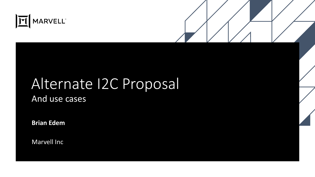

#### Alternate I2C Proposal And use cases

**Brian Edem**

Marvell Inc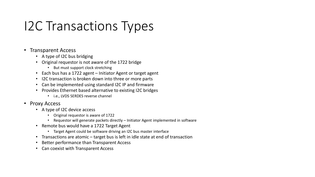## I2C Transactions Types

#### • Transparent Access

- A type of I2C bus bridging
- Original requestor is not aware of the 1722 bridge
	- But must support clock stretching
- Each bus has a 1722 agent Initiator Agent or target agent
- I2C transaction is broken down into three or more parts
- Can be implemented using standard I2C IP and firmware
- Provides Ethernet based alternative to existing I2C bridges
	- i.e., LVDS SERDES reverse channel
- Proxy Access
	- A type of I2C device access
		- Original requestor is aware of 1722
		- Requestor will generate packets directly Initiator Agent implemented in software
	- Remote bus would have a 1722 Target Agent
		- Target Agent could be software driving an I2C bus master interface
	- Transactions are atomic target bus is left in idle state at end of transaction
	- Better performance than Transparent Access
	- Can coexist with Transparent Access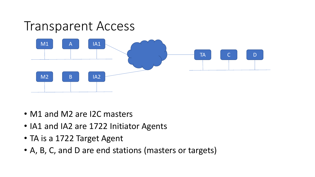

- M1 and M2 are I2C masters
- IA1 and IA2 are 1722 Initiator Agents
- TA is a 1722 Target Agent
- A, B, C, and D are end stations (masters or targets)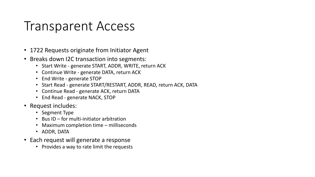#### Transparent Access

- 1722 Requests originate from Initiator Agent
- Breaks down I2C transaction into segments:
	- Start Write generate START, ADDR, WRITE, return ACK
	- Continue Write generate DATA, return ACK
	- End Write generate STOP
	- Start Read generate START/RESTART, ADDR, READ, return ACK, DATA
	- Continue Read generate ACK, return DATA
	- End Read generate NACK, STOP
- Request includes:
	- Segment Type
	- Bus ID for multi-initiator arbitration
	- Maximum completion time milliseconds
	- ADDR, DATA
- Each request will generate a response
	- Provides a way to rate limit the requests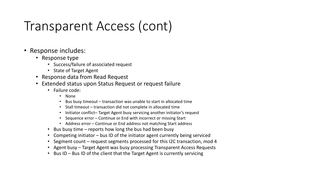### Transparent Access (cont)

- Response includes:
	- Response type
		- Success/failure of associated request
		- State of Target Agent
	- Response data from Read Request
	- Extended status upon Status Request or request failure
		- Failure code:
			- None
			- Bus busy timeout transaction was unable to start in allocated time
			- Stall timeout transaction did not complete in allocated time
			- Initiator conflict–Target Agent busy servicing another initiator's request
			- Sequence error Continue or End with incorrect or missing Start
			- Address error Continue or End address not matching Start address
		- Bus busy time reports how long the bus had been busy
		- Competing initiator bus ID of the initiator agent currently being serviced
		- Segment count request segments processed for this I2C transaction, mod 4
		- Agent busy Target Agent was busy processing Transparent Access Requests
		- Bus ID Bus ID of the client that the Target Agent is currently servicing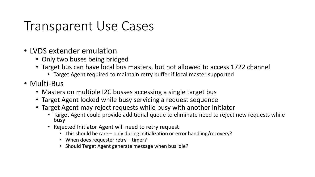#### Transparent Use Cases

- LVDS extender emulation
	- Only two buses being bridged
	- Target bus can have local bus masters, but not allowed to access 1722 channel
		- Target Agent required to maintain retry buffer if local master supported
- Multi-Bus
	- Masters on multiple I2C busses accessing a single target bus
	- Target Agent locked while busy servicing a request sequence
	- Target Agent may reject requests while busy with another initiator
		- Target Agent could provide additional queue to eliminate need to reject new requests while busy
		- Rejected Initiator Agent will need to retry request
			- This should be rare only during initialization or error handling/recovery?
			- When does requester retry timer?
			- Should Target Agent generate message when bus idle?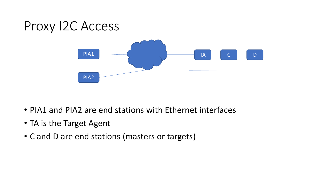### Proxy I2C Access



- PIA1 and PIA2 are end stations with Ethernet interfaces
- TA is the Target Agent
- C and D are end stations (masters or targets)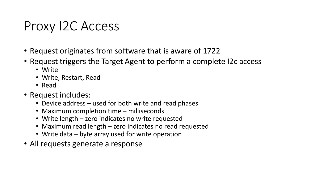#### Proxy I2C Access

- Request originates from software that is aware of 1722
- Request triggers the Target Agent to perform a complete I2c access
	- Write
	- Write, Restart, Read
	- Read
- Request includes:
	- Device address used for both write and read phases
	- Maximum completion time milliseconds
	- Write length zero indicates no write requested
	- Maximum read length zero indicates no read requested
	- Write data byte array used for write operation
- All requests generate a response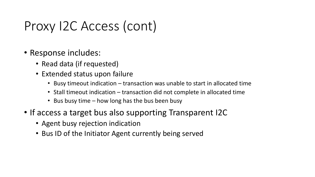### Proxy I2C Access (cont)

- Response includes:
	- Read data (if requested)
	- Extended status upon failure
		- Busy timeout indication transaction was unable to start in allocated time
		- Stall timeout indication transaction did not complete in allocated time
		- Bus busy time how long has the bus been busy
- If access a target bus also supporting Transparent I2C
	- Agent busy rejection indication
	- Bus ID of the Initiator Agent currently being served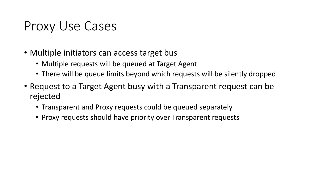#### Proxy Use Cases

- Multiple initiators can access target bus
	- Multiple requests will be queued at Target Agent
	- There will be queue limits beyond which requests will be silently dropped
- Request to a Target Agent busy with a Transparent request can be rejected
	- Transparent and Proxy requests could be queued separately
	- Proxy requests should have priority over Transparent requests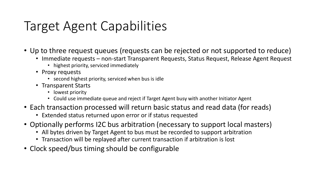## Target Agent Capabilities

- Up to three request queues (requests can be rejected or not supported to reduce)
	- Immediate requests non-start Transparent Requests, Status Request, Release Agent Request
		- highest priority, serviced immediately
	- Proxy requests
		- second highest priority, serviced when bus is idle
	- Transparent Starts
		- lowest priority
		- Could use immediate queue and reject if Target Agent busy with another Initiator Agent
- Each transaction processed will return basic status and read data (for reads)
	- Extended status returned upon error or if status requested
- Optionally performs I2C bus arbitration (necessary to support local masters)
	- All bytes driven by Target Agent to bus must be recorded to support arbitration
	- Transaction will be replayed after current transaction if arbitration is lost
- Clock speed/bus timing should be configurable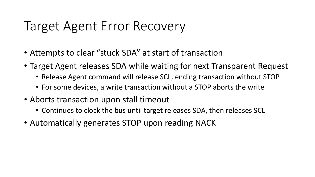#### Target Agent Error Recovery

- Attempts to clear "stuck SDA" at start of transaction
- Target Agent releases SDA while waiting for next Transparent Request
	- Release Agent command will release SCL, ending transaction without STOP
	- For some devices, a write transaction without a STOP aborts the write
- Aborts transaction upon stall timeout
	- Continues to clock the bus until target releases SDA, then releases SCL
- Automatically generates STOP upon reading NACK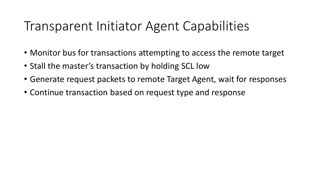#### Transparent Initiator Agent Capabilities

- Monitor bus for transactions attempting to access the remote target
- Stall the master's transaction by holding SCL low
- Generate request packets to remote Target Agent, wait for responses
- Continue transaction based on request type and response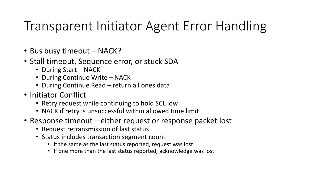#### Transparent Initiator Agent Error Handling

- Bus busy timeout NACK?
- Stall timeout, Sequence error, or stuck SDA
	- During Start NACK
	- During Continue Write NACK
	- During Continue Read return all ones data
- Initiator Conflict
	- Retry request while continuing to hold SCL low
	- NACK if retry is unsuccessful within allowed time limit
- Response timeout either request or response packet lost
	- Request retransmission of last status
	- Status includes transaction segment count
		- If the same as the last status reported, request was lost
		- If one more than the last status reported, acknowledge was lost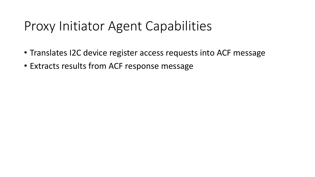#### Proxy Initiator Agent Capabilities

- Translates I2C device register access requests into ACF message
- Extracts results from ACF response message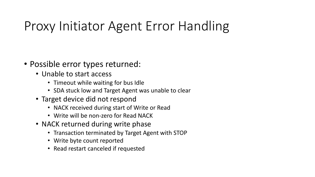## Proxy Initiator Agent Error Handling

- Possible error types returned:
	- Unable to start access
		- Timeout while waiting for bus Idle
		- SDA stuck low and Target Agent was unable to clear
	- Target device did not respond
		- NACK received during start of Write or Read
		- Write will be non-zero for Read NACK
	- NACK returned during write phase
		- Transaction terminated by Target Agent with STOP
		- Write byte count reported
		- Read restart canceled if requested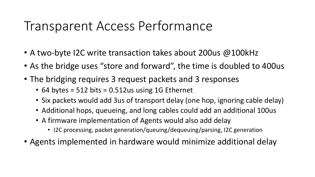#### Transparent Access Performance

- A two-byte I2C write transaction takes about 200us @100kHz
- As the bridge uses "store and forward", the time is doubled to 400us
- The bridging requires 3 request packets and 3 responses
	- 64 bytes = 512 bits = 0.512us using 1G Ethernet
	- Six packets would add 3us of transport delay (one hop, ignoring cable delay)
	- Additional hops, queueing, and long cables could add an additional 100us
	- A firmware implementation of Agents would also add delay
		- I2C processing, packet generation/queuing/dequeuing/parsing, I2C generation
- Agents implemented in hardware would minimize additional delay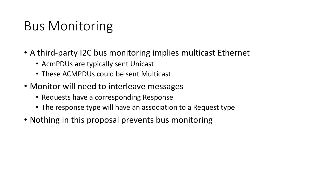### Bus Monitoring

- A third-party I2C bus monitoring implies multicast Ethernet
	- AcmPDUs are typically sent Unicast
	- These ACMPDUs could be sent Multicast
- Monitor will need to interleave messages
	- Requests have a corresponding Response
	- The response type will have an association to a Request type
- Nothing in this proposal prevents bus monitoring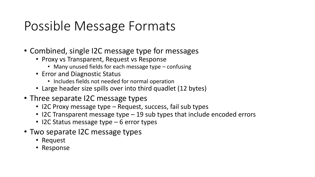### Possible Message Formats

- Combined, single I2C message type for messages
	- Proxy vs Transparent, Request vs Response
		- Many unused fields for each message type confusing
	- Error and Diagnostic Status
		- Includes fields not needed for normal operation
	- Large header size spills over into third quadlet (12 bytes)
- Three separate I2C message types
	- I2C Proxy message type Request, success, fail sub types
	- I2C Transparent message type 19 sub types that include encoded errors
	- I2C Status message type 6 error types
- Two separate I2C message types
	- Request
	- Response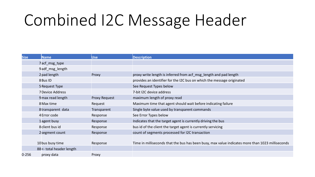# Combined I2C Message Header

| <b>Size</b> | Name                      | Use                  | <b>Description</b>                                                                               |
|-------------|---------------------------|----------------------|--------------------------------------------------------------------------------------------------|
|             | 7acf_msg_type             |                      |                                                                                                  |
|             | 9adf_msg_length           |                      |                                                                                                  |
|             | 2 pad length              | Proxy                | proxy write length is inferred from acf_msg_length and pad length                                |
|             | 8 Bus ID                  |                      | provides an identifier for the I2C bus on which the message originated                           |
|             | 5 Request Type            |                      | See Request Types below                                                                          |
|             | <b>7 Device Address</b>   |                      | 7-bit I2C device address                                                                         |
|             | 9 max read length         | <b>Proxy Request</b> | maximum length of proxy read                                                                     |
|             | 8 Max time                | Request              | Maximum time that agent should wait before indicating failure                                    |
|             | 8transparent data         | Transparent          | Single byte value used by transparent commands                                                   |
|             | 4 Error code              | Response             | See Error Types below                                                                            |
|             | 1 agent busy              | Response             | Indicates that the target agent is currently driving the bus                                     |
|             | 8 client bus id           | Response             | bus id of the client the target agent is currently servicing                                     |
|             | 2 segment count           | Response             | count of segments processed for I2C transaction                                                  |
|             |                           |                      |                                                                                                  |
|             | 10 bus busy time          | Response             | Time in milliseconds that the bus has been busy, max value indicates more than 1023 milliseconds |
|             | 88 <- total header length |                      |                                                                                                  |
| $0 - 256$   | proxy data                | Proxy                |                                                                                                  |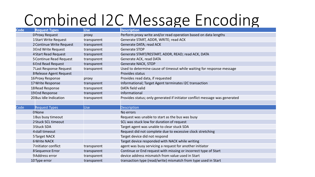## **Combined I2C Message Encoding**

| <b>Code</b> | <b>Request Types</b>           | <b>Use</b>  | <b>Description</b>                                                          |
|-------------|--------------------------------|-------------|-----------------------------------------------------------------------------|
|             | <b>OProxy Request</b>          | proxy       | Perform proxy write and/or read operation based on data lengths             |
|             | <b>1Start Write Request</b>    | transparent | Generate START, ADDR, WRITE; read ACK                                       |
|             | 2 Continue Write Request       | transparent | Generate DATA; read ACK                                                     |
|             | <b>3End Write Request</b>      | transparent | <b>Generate STOP</b>                                                        |
|             | 4 Start Read Request           | transparent | Generate START/RESTART, ADDR, READ; read ACK, DATA                          |
|             | <b>5 Continue Read Request</b> | transparent | Generate ACK, read DATA                                                     |
|             | <b>6End Read Request</b>       | transparent | <b>Generate NACK, STOP</b>                                                  |
|             | 7 Last Response Request        | transparent | Used to determine cause of timeout while waiting for response message       |
|             | <b>8 Release Agent Request</b> |             | <b>Provides status</b>                                                      |
|             | 16 Proxy Response              | proxy       | Provides read data, if requested                                            |
|             | 17 Write Response              | transparent | Informational; Target Agent terminates I2C transaction                      |
|             | 18 Read Response               | transparent | <b>DATA field valid</b>                                                     |
|             | 19End Response                 | transparent | Informational                                                               |
|             | 20 Bus Idle Indication         | transparent | Provides status; only generated if initiator conflict message was generated |
|             |                                |             |                                                                             |
| Code        | <b>Request Types</b>           | <b>Use</b>  | <b>Description</b>                                                          |
|             | 0None                          |             | No errors                                                                   |
|             | 1 Bus busy timeout             |             | Request was unable to start as the bus was busy                             |
|             | 2 Stuck SCL timeout            |             | SCL was stuck low for duration of request                                   |
|             | 3 Stuck SDA                    |             | Target agent was unable to clear stuck SDA                                  |
|             | 4 stall timeout                |             | Request did not complete due to excessive clock stretching                  |
|             | 5 Target NACK                  |             | Target device did not respond                                               |
|             | <b>6 Write NACK</b>            |             | Target device responded with NACK while writing                             |
|             | 7initiator conflict            | transparent | agent was busy servicing a request for another initiator                    |
|             | 8 Sequence Error               | transparent | Continue or End request with missing or incorrect type of Start             |
|             | 9 Address error                | transparent | device address mismatch from value used in Start                            |
|             | 10Type error                   | transparent | transaction type (read/write) mismatch from type used in Start              |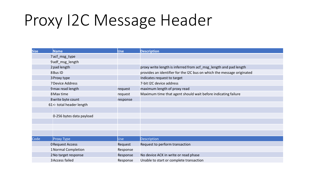# Proxy I2C Message Header

| <b>Size</b> | <b>Name</b>               | Use      | <b>Description</b>                                                     |
|-------------|---------------------------|----------|------------------------------------------------------------------------|
|             | 7acf_msg_type             |          |                                                                        |
|             | 9adf_msg_length           |          |                                                                        |
|             | 2 pad length              |          | proxy write length is inferred from acf_msg_length and pad length      |
|             | 8 Bus ID                  |          | provides an identifier for the I2C bus on which the message originated |
|             | 3 Proxy type              |          | Indicates request to target                                            |
|             | 7 Device Address          |          | 7-bit I2C device address                                               |
|             | 9 max read length         | request  | maximum length of proxy read                                           |
|             | 8 Max time                | request  | Maximum time that agent should wait before indicating failure          |
|             | 8 write byte count        | response |                                                                        |
|             | 61 <- total header length |          |                                                                        |
|             |                           |          |                                                                        |
|             | 0-256 bytes data payload  |          |                                                                        |
|             |                           |          |                                                                        |
|             |                           |          |                                                                        |
|             |                           |          |                                                                        |
| Code        | Proxy Type                | Use      | <b>Description</b>                                                     |
|             | <b>ORequest Access</b>    | Request  | Request to perform transaction                                         |
|             | 1 Normal Completion       | Response |                                                                        |
|             | 2 No target response      | Response | No device ACK in write or read phase                                   |
|             | 3 Access failed           | Response | Unable to start or complete transaction                                |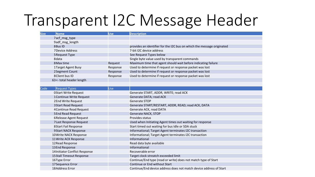## Transparent I2C Message Header

| <b>Size</b> | <b>Name</b>                     | Use      | <b>Description</b>                                                     |
|-------------|---------------------------------|----------|------------------------------------------------------------------------|
|             | 7acf_msg_type                   |          |                                                                        |
|             | 9adf_msg_length                 |          |                                                                        |
|             | 8Bus ID                         |          | provides an identifier for the I2C bus on which the message originated |
|             | <b>7Device Address</b>          |          | 7-bit I2C device address                                               |
|             | 5 Request Type                  |          | See Request Types below                                                |
|             | 8data                           |          | Single byte value used by transparent commands                         |
|             | 8 Max time                      | Request  | Maximum time that agent should wait before indicating failure          |
|             | 1Target Agent Busy              | Response | Used to determine if request or response packet was lost               |
|             | 2Segment Count                  | Response | Used to determine if request or response packet was lost               |
|             | 8 Client bus ID                 | Response | Used to determine if request or response packet was lost               |
|             | 63 <- total header length       |          |                                                                        |
|             |                                 |          |                                                                        |
| Code        | <b>Request Types</b>            | Use      |                                                                        |
|             | <b>OStart Write Request</b>     |          | Generate START, ADDR, WRITE; read ACK                                  |
|             | 1 Continue Write Request        |          | Generate DATA; read ACK                                                |
|             | 2End Write Request              |          | Generate STOP                                                          |
|             | <b>3Start Read Request</b>      |          | Generate START/RESTART, ADDR, READ; read ACK, DATA                     |
|             | 4 Continue Read Request         |          | Generate ACK, read DATA                                                |
|             | <b>5End Read Request</b>        |          | <b>Generate NACK, STOP</b>                                             |
|             | <b>6Release Agent Request</b>   |          | Provides status                                                        |
|             | <b>7Last Response Request</b>   |          | Used when Initiating Agent times out waiting for response              |
|             | 8Start Fail Response            |          | Start timed out waiting for bus Idle or SDA stuck                      |
|             | <b>9Start NACK Response</b>     |          | Informational; Target Agent terminates I2C transaction                 |
|             | 10 Write NACK Response          |          | Informational; Target Agent terminates I2C transaction                 |
|             | 11 Write ACK Response           |          | Informational                                                          |
|             | 12 Read Response                |          | Read data byte available                                               |
|             | 13End Response                  |          | Informational                                                          |
|             | 14 Initiator Conflict Response  |          | Recoverable error                                                      |
|             | <b>15Stall Timeout Response</b> |          | Target clock streatch exceeded limit                                   |
|             | 16Type Error                    |          | Continue/End type (read or write) does not match type of Start         |
|             | 17 Sequence Error               |          | Continue or End without Start                                          |
|             | 18Address Error                 |          | Continue/End device address does not match device address of Start     |